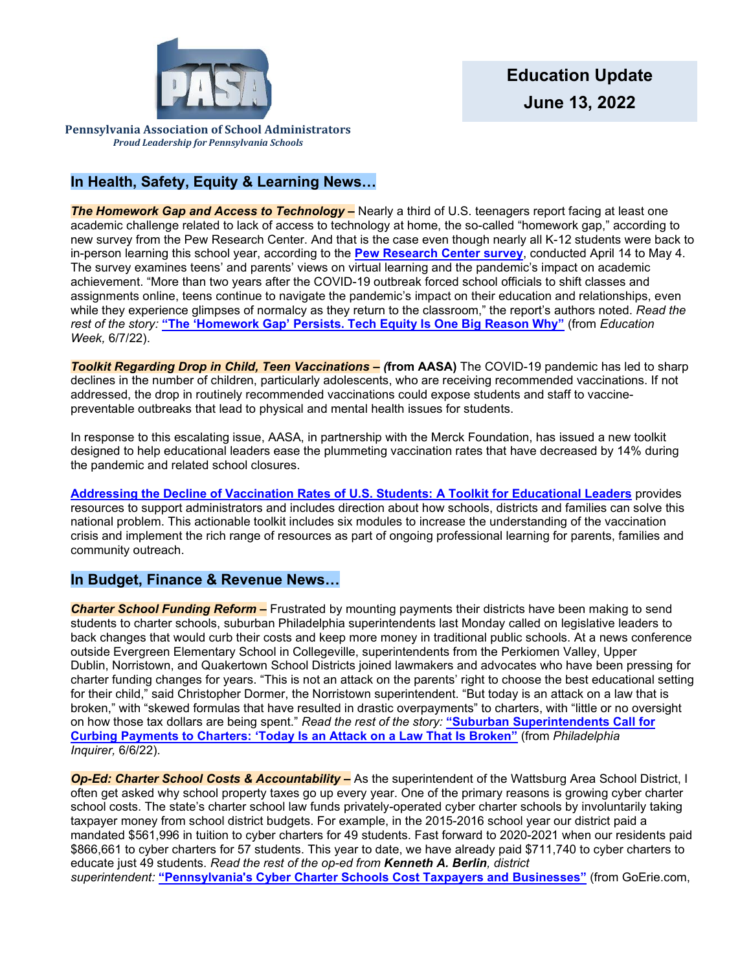

**Pennsylvania Association of School Administrators** *Proud Leadership for Pennsylvania Schools*

# **In Health, Safety, Equity & Learning News…**

**The Homework Gap and Access to Technology –** Nearly a third of U.S. teenagers report facing at least one academic challenge related to lack of access to technology at home, the so-called "homework gap," according to new survey from the Pew Research Center. And that is the case even though nearly all K-12 students were back to in-person learning this school year, according to the **[Pew Research Center survey](https://www.pewresearch.org/internet/2022/06/02/how-teens-navigate-school-during-covid-19/)**, conducted April 14 to May 4. The survey examines teens' and parents' views on virtual learning and the pandemic's impact on academic achievement. "More than two years after the COVID-19 outbreak forced school officials to shift classes and assignments online, teens continue to navigate the pandemic's impact on their education and relationships, even while they experience glimpses of normalcy as they return to the classroom," the report's authors noted. *Read the rest of the story:* **["The 'Homework Gap' Persists. Tech Equity Is One Big Reason Why"](https://www.edweek.org/technology/the-homework-gap-persists-tech-equity-is-one-big-reason-why/2022/06)** (from *Education Week,* 6/7/22).

*Toolkit Regarding Drop in Child, Teen Vaccinations – (***from AASA)** The COVID-19 pandemic has led to sharp declines in the number of children, particularly adolescents, who are receiving recommended vaccinations. If not addressed, the drop in routinely recommended vaccinations could expose students and staff to vaccinepreventable outbreaks that lead to physical and mental health issues for students.

In response to this escalating issue, AASA, in partnership with the Merck Foundation, has issued a new toolkit designed to help educational leaders ease the plummeting vaccination rates that have decreased by 14% during the pandemic and related school closures.

**[Addressing the Decline of Vaccination Rates of U.S. Students: A Toolkit for Educational Leaders](https://aasacentral.org/toolkit-vaccination/)** provides resources to support administrators and includes direction about how schools, districts and families can solve this national problem. This actionable toolkit includes six modules to increase the understanding of the vaccination crisis and implement the rich range of resources as part of ongoing professional learning for parents, families and community outreach.

# **In Budget, Finance & Revenue News…**

*Charter School Funding Reform –* Frustrated by mounting payments their districts have been making to send students to charter schools, suburban Philadelphia superintendents last Monday called on legislative leaders to back changes that would curb their costs and keep more money in traditional public schools. At a news conference outside Evergreen Elementary School in Collegeville, superintendents from the Perkiomen Valley, Upper Dublin, Norristown, and Quakertown School Districts joined lawmakers and advocates who have been pressing for charter funding changes for years. "This is not an attack on the parents' right to choose the best educational setting for their child," said Christopher Dormer, the Norristown superintendent. "But today is an attack on a law that is broken," with "skewed formulas that have resulted in drastic overpayments" to charters, with "little or no oversight on how those tax dollars are being spent." *Read the rest of the story:* **["Suburban Superintendents Call for](https://www.inquirer.com/news/charter-school-funding-pennsylvania-superintendents-wolf-20220606.html)  [Curbing Payments to Charters: 'Today Is an Attack on a Law That Is Broken"](https://www.inquirer.com/news/charter-school-funding-pennsylvania-superintendents-wolf-20220606.html)** (from *Philadelphia Inquirer,* 6/6/22).

*Op-Ed: Charter School Costs & Accountability –* As the superintendent of the Wattsburg Area School District, I often get asked why school property taxes go up every year. One of the primary reasons is growing cyber charter school costs. The state's charter school law funds privately-operated cyber charter schools by involuntarily taking taxpayer money from school district budgets. For example, in the 2015-2016 school year our district paid a mandated \$561,996 in tuition to cyber charters for 49 students. Fast forward to 2020-2021 when our residents paid \$866,661 to cyber charters for 57 students. This year to date, we have already paid \$711,740 to cyber charters to educate just 49 students. *Read the rest of the op-ed from Kenneth A. Berlin, district superintendent:* **["Pennsylvania's Cyber Charter Schools Cost Taxpayers and Businesses"](https://www.goerie.com/story/opinion/columns/2022/06/03/pennsylvanias-cyber-charter-schools-cost-taxpayers-and-businesses-advertising-academic-success/65357723007/)** (from GoErie.com,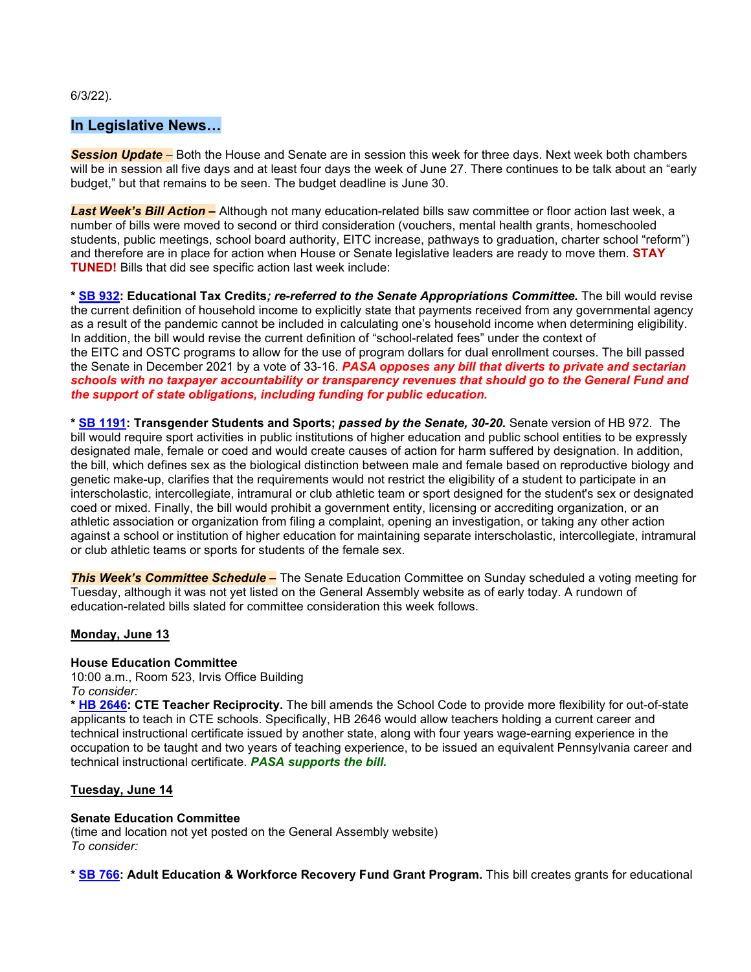6/3/22).

## **In Legislative News…**

*Session Update –* Both the House and Senate are in session this week for three days. Next week both chambers will be in session all five days and at least four days the week of June 27. There continues to be talk about an "early budget," but that remains to be seen. The budget deadline is June 30.

*Last Week's Bill Action –* Although not many education-related bills saw committee or floor action last week, a number of bills were moved to second or third consideration (vouchers, mental health grants, homeschooled students, public meetings, school board authority, EITC increase, pathways to graduation, charter school "reform") and therefore are in place for action when House or Senate legislative leaders are ready to move them. **STAY TUNED!** Bills that did see specific action last week include:

**\* [SB 932:](https://www.legis.state.pa.us/cfdocs/billinfo/billinfo.cfm?syear=2021&sInd=0&body=S&type=B&bn=932) Educational Tax Credits***; re-referred to the Senate Appropriations Committee.* The bill would revise the current definition of household income to explicitly state that payments received from any governmental agency as a result of the pandemic cannot be included in calculating one's household income when determining eligibility. In addition, the bill would revise the current definition of "school-related fees" under the context of the EITC and OSTC programs to allow for the use of program dollars for dual enrollment courses. The bill passed the Senate in December 2021 by a vote of 33-16. *PASA opposes any bill that diverts to private and sectarian schools with no taxpayer accountability or transparency revenues that should go to the General Fund and the support of state obligations, including funding for public education.*

**\* [SB 1191:](https://www.legis.state.pa.us/cfdocs/billinfo/billinfo.cfm?syear=2021&sInd=0&body=S&type=B&bn=1191) Transgender Students and Sports;** *passed by the Senate, 30-20.* Senate version of HB 972. The bill would require sport activities in public institutions of higher education and public school entities to be expressly designated male, female or coed and would create causes of action for harm suffered by designation. In addition, the bill, which defines sex as the biological distinction between male and female based on reproductive biology and genetic make-up, clarifies that the requirements would not restrict the eligibility of a student to participate in an interscholastic, intercollegiate, intramural or club athletic team or sport designed for the student's sex or designated coed or mixed. Finally, the bill would prohibit a government entity, licensing or accrediting organization, or an athletic association or organization from filing a complaint, opening an investigation, or taking any other action against a school or institution of higher education for maintaining separate interscholastic, intercollegiate, intramural or club athletic teams or sports for students of the female sex.

**This Week's Committee Schedule –** The Senate Education Committee on Sunday scheduled a voting meeting for Tuesday, although it was not yet listed on the General Assembly website as of early today. A rundown of education-related bills slated for committee consideration this week follows.

### **Monday, June 13**

#### **House Education Committee**

10:00 a.m., Room 523, Irvis Office Building *To consider:*

**\* [HB 2646:](https://www.legis.state.pa.us/cfdocs/billinfo/billinfo.cfm?syear=2021&sInd=0&body=H&type=B&bn=2646) CTE Teacher Reciprocity.** The bill amends the School Code to provide more flexibility for out-of-state applicants to teach in CTE schools. Specifically, HB 2646 would allow teachers holding a current career and technical instructional certificate issued by another state, along with four years wage-earning experience in the occupation to be taught and two years of teaching experience, to be issued an equivalent Pennsylvania career and technical instructional certificate. *PASA supports the bill.*

### **Tuesday, June 14**

#### **Senate Education Committee**

(time and location not yet posted on the General Assembly website) *To consider:*

**\* [SB 766:](https://www.legis.state.pa.us/cfdocs/billInfo/billInfo.cfm?sYear=2021&sInd=0&body=s&type=b&bn=766) Adult Education & Workforce Recovery Fund Grant Program.** This bill creates grants for educational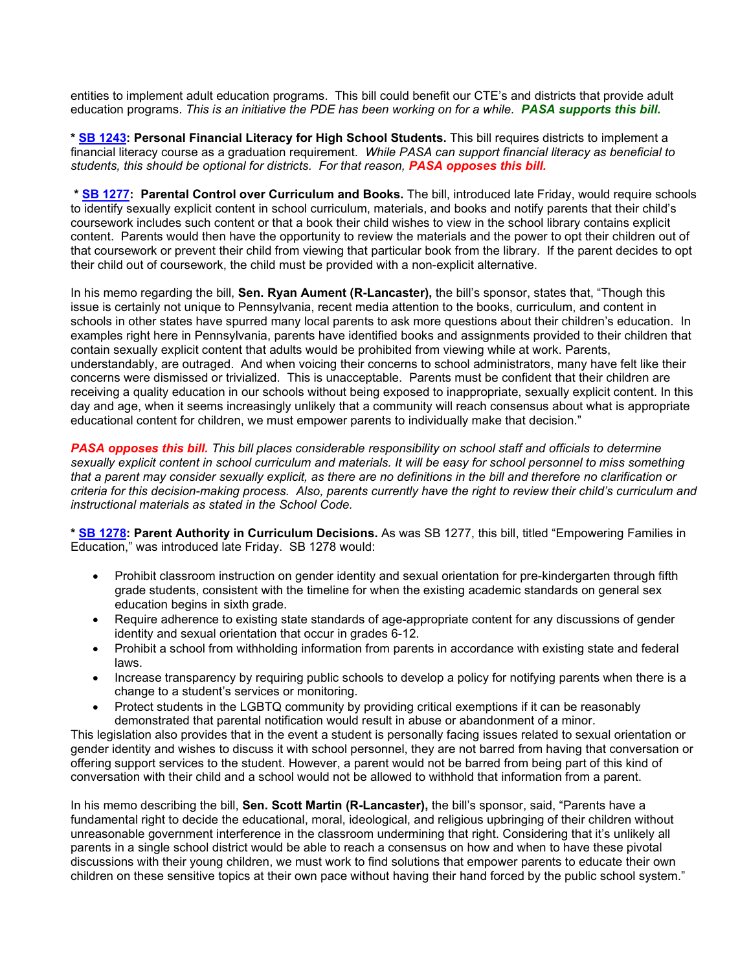entities to implement adult education programs. This bill could benefit our CTE's and districts that provide adult education programs. *This is an initiative the PDE has been working on for a while. PASA supports this bill.*

**\* [SB 1243:](https://www.legis.state.pa.us/cfdocs/billInfo/billInfo.cfm?sYear=2021&sInd=0&body=s&type=b&bn=1243) Personal Financial Literacy for High School Students.** This bill requires districts to implement a financial literacy course as a graduation requirement. *While PASA can support financial literacy as beneficial to students, this should be optional for districts. For that reason, PASA opposes this bill.*

**\* [SB 1277:](https://www.legis.state.pa.us/cfdocs/billInfo/billInfo.cfm?sYear=2021&sInd=0&body=s&type=b&bn=1277) Parental Control over Curriculum and Books.** The bill, introduced late Friday, would require schools to identify sexually explicit content in school curriculum, materials, and books and notify parents that their child's coursework includes such content or that a book their child wishes to view in the school library contains explicit content. Parents would then have the opportunity to review the materials and the power to opt their children out of that coursework or prevent their child from viewing that particular book from the library. If the parent decides to opt their child out of coursework, the child must be provided with a non-explicit alternative.

In his memo regarding the bill, **Sen. Ryan Aument (R-Lancaster),** the bill's sponsor, states that, "Though this issue is certainly not unique to Pennsylvania, recent media attention to the books, curriculum, and content in schools in other states have spurred many local parents to ask more questions about their children's education. In examples right here in Pennsylvania, parents have identified books and assignments provided to their children that contain sexually explicit content that adults would be prohibited from viewing while at work. Parents, understandably, are outraged. And when voicing their concerns to school administrators, many have felt like their concerns were dismissed or trivialized. This is unacceptable. Parents must be confident that their children are receiving a quality education in our schools without being exposed to inappropriate, sexually explicit content. In this day and age, when it seems increasingly unlikely that a community will reach consensus about what is appropriate educational content for children, we must empower parents to individually make that decision."

*PASA opposes this bill. This bill places considerable responsibility on school staff and officials to determine sexually explicit content in school curriculum and materials. It will be easy for school personnel to miss something that a parent may consider sexually explicit, as there are no definitions in the bill and therefore no clarification or criteria for this decision-making process. Also, parents currently have the right to review their child's curriculum and instructional materials as stated in the School Code.*

**\* [SB 1278:](https://www.legis.state.pa.us/cfdocs/billInfo/billInfo.cfm?sYear=2021&sInd=0&body=s&type=b&bn=1278) Parent Authority in Curriculum Decisions.** As was SB 1277, this bill, titled "Empowering Families in Education," was introduced late Friday. SB 1278 would:

- Prohibit classroom instruction on gender identity and sexual orientation for pre-kindergarten through fifth grade students, consistent with the timeline for when the existing academic standards on general sex education begins in sixth grade.
- Require adherence to existing state standards of age-appropriate content for any discussions of gender identity and sexual orientation that occur in grades 6-12.
- Prohibit a school from withholding information from parents in accordance with existing state and federal laws.
- Increase transparency by requiring public schools to develop a policy for notifying parents when there is a change to a student's services or monitoring.
- Protect students in the LGBTQ community by providing critical exemptions if it can be reasonably demonstrated that parental notification would result in abuse or abandonment of a minor.

This legislation also provides that in the event a student is personally facing issues related to sexual orientation or gender identity and wishes to discuss it with school personnel, they are not barred from having that conversation or offering support services to the student. However, a parent would not be barred from being part of this kind of conversation with their child and a school would not be allowed to withhold that information from a parent.

In his memo describing the bill, **Sen. Scott Martin (R-Lancaster),** the bill's sponsor, said, "Parents have a fundamental right to decide the educational, moral, ideological, and religious upbringing of their children without unreasonable government interference in the classroom undermining that right. Considering that it's unlikely all parents in a single school district would be able to reach a consensus on how and when to have these pivotal discussions with their young children, we must work to find solutions that empower parents to educate their own children on these sensitive topics at their own pace without having their hand forced by the public school system."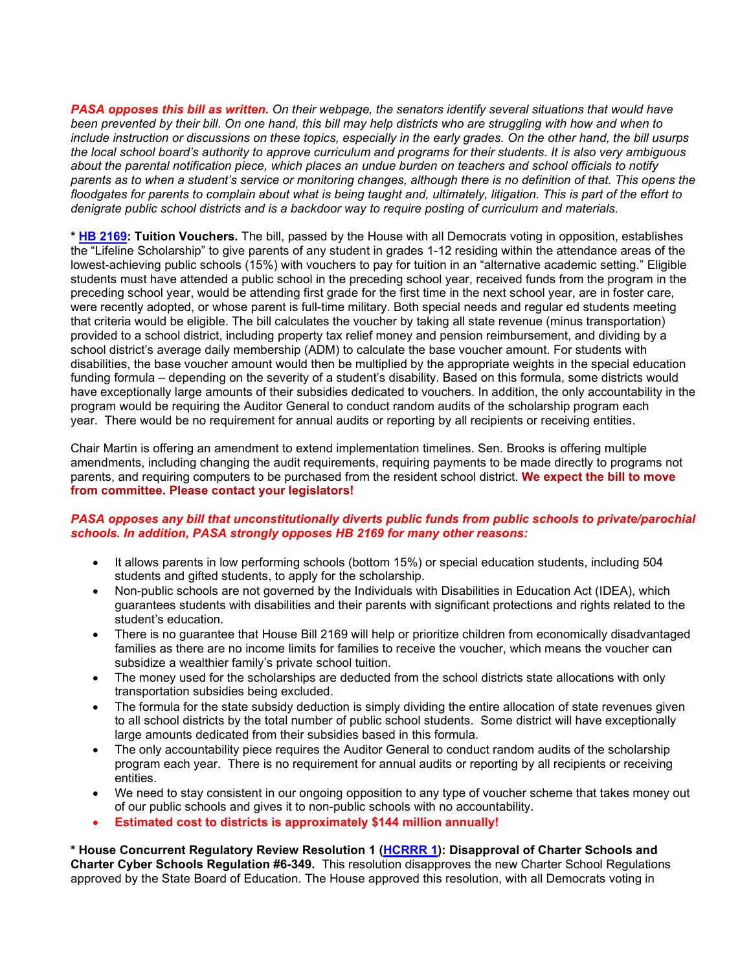*PASA opposes this bill as written. On their webpage, the senators identify several situations that would have been prevented by their bill. On one hand, this bill may help districts who are struggling with how and when to include instruction or discussions on these topics, especially in the early grades. On the other hand, the bill usurps the local school board's authority to approve curriculum and programs for their students. It is also very ambiguous about the parental notification piece, which places an undue burden on teachers and school officials to notify parents as to when a student's service or monitoring changes, although there is no definition of that. This opens the floodgates for parents to complain about what is being taught and, ultimately, litigation. This is part of the effort to denigrate public school districts and is a backdoor way to require posting of curriculum and materials.*

**\* [HB 2169:](https://www.legis.state.pa.us/cfdocs/billInfo/billInfo.cfm?sYear=2021&sInd=0&body=h&type=b&bn=2169) Tuition Vouchers.** The bill, passed by the House with all Democrats voting in opposition, establishes the "Lifeline Scholarship" to give parents of any student in grades 1-12 residing within the attendance areas of the lowest-achieving public schools (15%) with vouchers to pay for tuition in an "alternative academic setting." Eligible students must have attended a public school in the preceding school year, received funds from the program in the preceding school year, would be attending first grade for the first time in the next school year, are in foster care, were recently adopted, or whose parent is full-time military. Both special needs and regular ed students meeting that criteria would be eligible. The bill calculates the voucher by taking all state revenue (minus transportation) provided to a school district, including property tax relief money and pension reimbursement, and dividing by a school district's average daily membership (ADM) to calculate the base voucher amount. For students with disabilities, the base voucher amount would then be multiplied by the appropriate weights in the special education funding formula – depending on the severity of a student's disability. Based on this formula, some districts would have exceptionally large amounts of their subsidies dedicated to vouchers. In addition, the only accountability in the program would be requiring the Auditor General to conduct random audits of the scholarship program each year. There would be no requirement for annual audits or reporting by all recipients or receiving entities.

Chair Martin is offering an amendment to extend implementation timelines. Sen. Brooks is offering multiple amendments, including changing the audit requirements, requiring payments to be made directly to programs not parents, and requiring computers to be purchased from the resident school district. **We expect the bill to move from committee. Please contact your legislators!**

#### *PASA opposes any bill that unconstitutionally diverts public funds from public schools to private/parochial schools. In addition, PASA strongly opposes HB 2169 for many other reasons:*

- It allows parents in low performing schools (bottom 15%) or special education students, including 504 students and gifted students, to apply for the scholarship.
- Non-public schools are not governed by the Individuals with Disabilities in Education Act (IDEA), which guarantees students with disabilities and their parents with significant protections and rights related to the student's education.
- There is no guarantee that House Bill 2169 will help or prioritize children from economically disadvantaged families as there are no income limits for families to receive the voucher, which means the voucher can subsidize a wealthier family's private school tuition.
- The money used for the scholarships are deducted from the school districts state allocations with only transportation subsidies being excluded.
- The formula for the state subsidy deduction is simply dividing the entire allocation of state revenues given to all school districts by the total number of public school students. Some district will have exceptionally large amounts dedicated from their subsidies based in this formula.
- The only accountability piece requires the Auditor General to conduct random audits of the scholarship program each year. There is no requirement for annual audits or reporting by all recipients or receiving entities.
- We need to stay consistent in our ongoing opposition to any type of voucher scheme that takes money out of our public schools and gives it to non-public schools with no accountability.
- **Estimated cost to districts is approximately \$144 million annually!**

**\* House Concurrent Regulatory Review Resolution 1 [\(HCRRR 1\)](https://www.legis.state.pa.us/cfdocs/legis/home/bills/RenderMisc-Documents.cfm?name=HU0001&MiscYr=2022): Disapproval of Charter Schools and Charter Cyber Schools Regulation #6-349.** This resolution disapproves the new Charter School Regulations approved by the State Board of Education. The House approved this resolution, with all Democrats voting in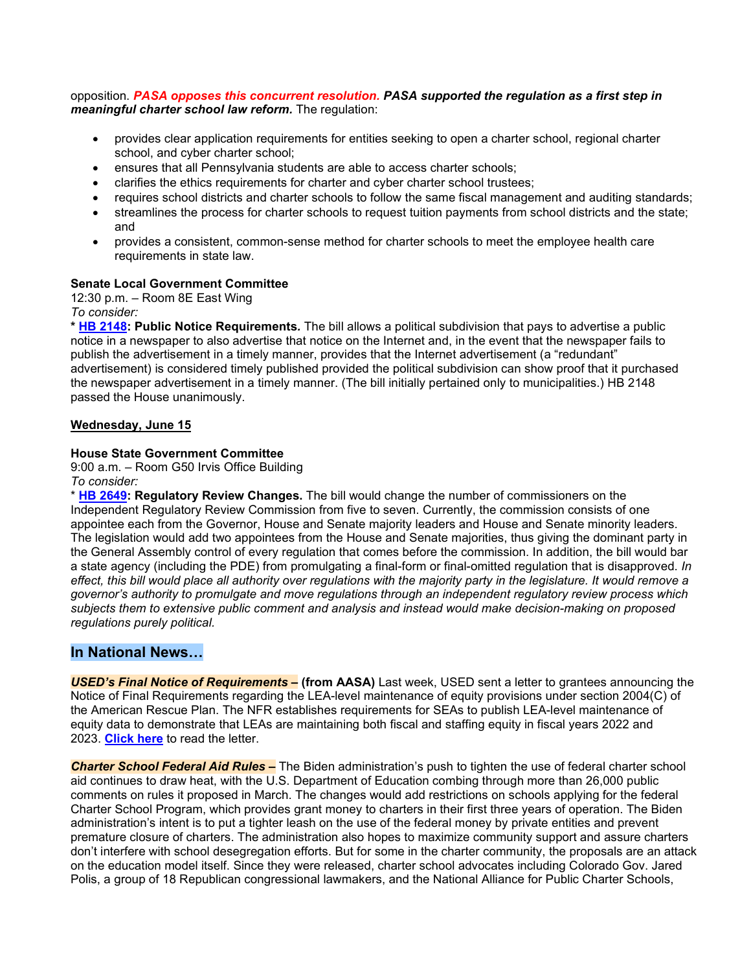#### opposition. *PASA opposes this concurrent resolution. PASA supported the regulation as a first step in meaningful charter school law reform.* The regulation:

- provides clear application requirements for entities seeking to open a charter school, regional charter school, and cyber charter school;
- ensures that all Pennsylvania students are able to access charter schools;
- clarifies the ethics requirements for charter and cyber charter school trustees;
- requires school districts and charter schools to follow the same fiscal management and auditing standards;
- streamlines the process for charter schools to request tuition payments from school districts and the state; and
- provides a consistent, common-sense method for charter schools to meet the employee health care requirements in state law.

#### **Senate Local Government Committee**

12:30 p.m. – Room 8E East Wing *To consider:*

**\* [HB 2148:](https://www.legis.state.pa.us/cfdocs/billInfo/bill_history.cfm?syear=2021&sind=0&body=H&type=B&bn=2148) Public Notice Requirements***.* The bill allows a political subdivision that pays to advertise a public notice in a newspaper to also advertise that notice on the Internet and, in the event that the newspaper fails to publish the advertisement in a timely manner, provides that the Internet advertisement (a "redundant" advertisement) is considered timely published provided the political subdivision can show proof that it purchased the newspaper advertisement in a timely manner. (The bill initially pertained only to municipalities.) HB 2148 passed the House unanimously.

#### **Wednesday, June 15**

#### **House State Government Committee**

9:00 a.m. – Room G50 Irvis Office Building

#### *To consider:*

\* **[HB 2649:](https://www.legis.state.pa.us/cfdocs/billinfo/billinfo.cfm?syear=2021&sInd=0&body=H&type=B&bn=2649) Regulatory Review Changes.** The bill would change the number of commissioners on the Independent Regulatory Review Commission from five to seven. Currently, the commission consists of one appointee each from the Governor, House and Senate majority leaders and House and Senate minority leaders. The legislation would add two appointees from the House and Senate majorities, thus giving the dominant party in the General Assembly control of every regulation that comes before the commission. In addition, the bill would bar a state agency (including the PDE) from promulgating a final-form or final-omitted regulation that is disapproved. *In effect, this bill would place all authority over regulations with the majority party in the legislature. It would remove a governor's authority to promulgate and move regulations through an independent regulatory review process which subjects them to extensive public comment and analysis and instead would make decision-making on proposed regulations purely political.*

### **In National News…**

*USED's Final Notice of Requirements –* **(from AASA)** Last week, USED sent a letter to grantees announcing the Notice of Final Requirements regarding the LEA-level maintenance of equity provisions under section 2004(C) of the American Rescue Plan. The NFR establishes requirements for SEAs to publish LEA-level maintenance of equity data to demonstrate that LEAs are maintaining both fiscal and staffing equity in fiscal years 2022 and 2023. **[Click here](https://aasa.org/uploadedFiles/AASA_Blog_The_Total_Child(1)/Grantee%20Alert%20-%20MoEquity%20NFR%20Issued.pdf)** to read the letter.

*Charter School Federal Aid Rules –* The Biden administration's push to tighten the use of federal charter school aid continues to draw heat, with the U.S. Department of Education combing through more than 26,000 public comments on rules it proposed in March. The changes would add restrictions on schools applying for the federal Charter School Program, which provides grant money to charters in their first three years of operation. The Biden administration's intent is to put a tighter leash on the use of the federal money by private entities and prevent premature closure of charters. The administration also hopes to maximize community support and assure charters don't interfere with school desegregation efforts. But for some in the charter community, the proposals are an attack on the education model itself. Since they were released, charter school advocates including Colorado Gov. Jared Polis, a group of 18 Republican congressional lawmakers, and the National Alliance for Public Charter Schools,